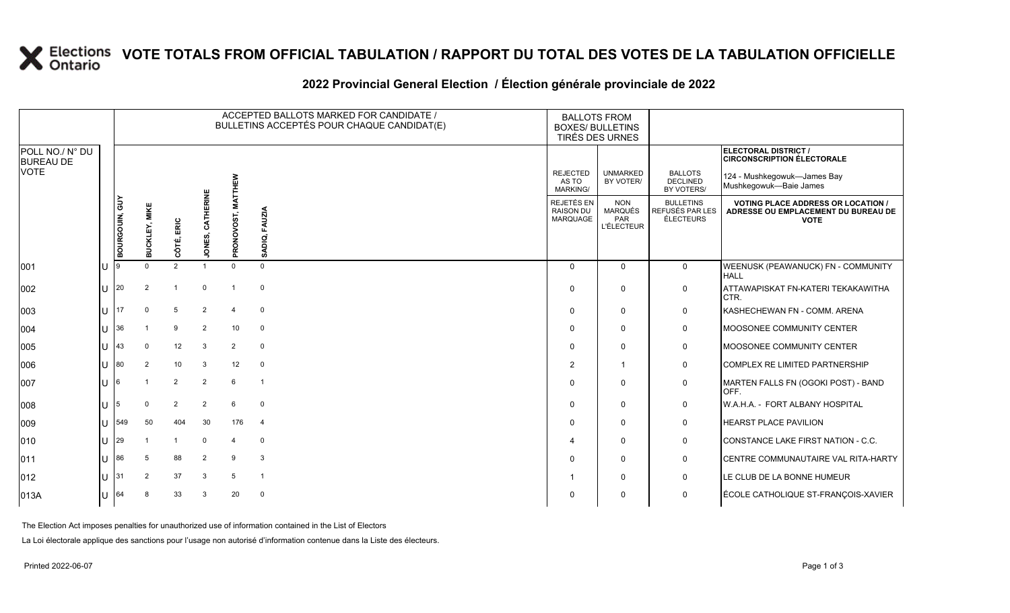### **VOTE TOTALS FROM OFFICIAL TABULATION / RAPPORT DU TOTAL DES VOTES DE LA TABULATION OFFICIELLE**

#### **2022 Provincial General Election / Élection générale provinciale de 2022**

|                                     |     |               |                      |               |                  |                | ACCEPTED BALLOTS MARKED FOR CANDIDATE /<br>BULLETINS ACCEPTÉS POUR CHAQUE CANDIDAT(E) | <b>BALLOTS FROM</b><br><b>BOXES/ BULLETINS</b><br><b>TIRÉS DES URNES</b> |                                                          |                                                         |                                                                                                 |
|-------------------------------------|-----|---------------|----------------------|---------------|------------------|----------------|---------------------------------------------------------------------------------------|--------------------------------------------------------------------------|----------------------------------------------------------|---------------------------------------------------------|-------------------------------------------------------------------------------------------------|
| POLL NO./ N° DU<br><b>BUREAU DE</b> |     |               |                      |               |                  |                |                                                                                       |                                                                          |                                                          |                                                         | ELECTORAL DISTRICT /<br><b>CIRCONSCRIPTION ÉLECTORALE</b>                                       |
| <b>VOTE</b>                         |     |               |                      |               |                  | <b>TTHEW</b>   |                                                                                       | <b>REJECTED</b><br>AS TO<br>MARKING/                                     | <b>UNMARKED</b><br>BY VOTER/                             | <b>BALLOTS</b><br>DECLINED<br>BY VOTERS/                | 124 - Mushkegowuk-James Bay<br>Mushkegowuk-Baie James                                           |
|                                     |     | BOURGOUN, GUY | <b>BUCKLEY, MIKE</b> | CÔTÉ, ERIC    | JONES, CATHERINE | PRONOVOST, MA  | SADIQ, FAUZIA                                                                         | REJETÉS EN<br><b>RAISON DU</b><br><b>MARQUAGE</b>                        | <b>NON</b><br><b>MARQUÉS</b><br>PAR<br><b>L'ÉLECTEUR</b> | <b>BULLETINS</b><br>REFUSÉS PAR LES<br><b>ÉLECTEURS</b> | <b>VOTING PLACE ADDRESS OR LOCATION /</b><br>ADRESSE OU EMPLACEMENT DU BUREAU DE<br><b>VOTE</b> |
| 001                                 | ΙU  |               | $\Omega$             | $\mathcal{D}$ |                  | $\Omega$       | $\Omega$                                                                              | $\Omega$                                                                 | $\Omega$                                                 | $\overline{0}$                                          | WEENUSK (PEAWANUCK) FN - COMMUNITY                                                              |
|                                     |     |               |                      |               |                  |                |                                                                                       |                                                                          |                                                          |                                                         | HAI I                                                                                           |
| 002                                 | lU  | 20            | 2                    |               | $\Omega$         |                | $\Omega$                                                                              | $\mathbf 0$                                                              | 0                                                        | $\mathbf 0$                                             | ATTAWAPISKAT FN-KATERI TEKAKAWITHA<br>CTR.                                                      |
| 003                                 | ΙU  | 17            | $\Omega$             | 5             | 2                |                | $\Omega$                                                                              | $\Omega$                                                                 | $\mathbf{0}$                                             | $\mathsf{O}$                                            | KASHECHEWAN FN - COMM. ARENA                                                                    |
| 004                                 | lθ  | 36            |                      | 9             | 2                | 10             | $\mathbf 0$                                                                           | $\Omega$                                                                 | $\mathbf{0}$                                             | $\mathbf 0$                                             | MOOSONEE COMMUNITY CENTER                                                                       |
| 005                                 | lθ  | 43            | $\mathbf 0$          | 12            | $\mathbf{3}$     | $\overline{2}$ | $\mathbf 0$                                                                           | $\Omega$                                                                 | $\mathbf{0}$                                             | $\mathsf{O}$                                            | MOOSONEE COMMUNITY CENTER                                                                       |
| 006                                 | IU. | 80            | 2                    | 10            | 3                | 12             | $\mathbf 0$                                                                           | 2                                                                        | $\mathbf{1}$                                             | $\mathsf{O}$                                            | COMPLEX RE LIMITED PARTNERSHIP                                                                  |
| 007                                 | lU. | 6             |                      | 2             | 2                | 6              | $\overline{1}$                                                                        | $\Omega$                                                                 | $\mathbf{0}$                                             | $\mathbf 0$                                             | MARTEN FALLS FN (OGOKI POST) - BAND<br>OFF.                                                     |
| 008                                 | lu  | 5             | $\Omega$             | 2             | 2                | 6              | $\mathbf 0$                                                                           | $\Omega$                                                                 | $\Omega$                                                 | $\mathbf 0$                                             | W.A.H.A. - FORT ALBANY HOSPITAL                                                                 |
| 009                                 | ΙU  | 549           | 50                   | 404           | 30               | 176            | $\overline{4}$                                                                        | $\Omega$                                                                 | $\Omega$                                                 | $\mathsf{O}$                                            | HEARST PLACE PAVILION                                                                           |
| $ 010\rangle$                       | lu  | 29            |                      |               | $\Omega$         | $\mathbf 4$    | $\mathbf 0$                                                                           | $\boldsymbol{\varDelta}$                                                 | 0                                                        | $\mathsf{O}$                                            | CONSTANCE LAKE FIRST NATION - C.C.                                                              |
| $ 011\rangle$                       | lυ  | 86            | $5\overline{5}$      | 88            | 2                | 9              | $\mathbf{3}$                                                                          | $\Omega$                                                                 | $\mathbf{0}$                                             | $\mathbf 0$                                             | CENTRE COMMUNAUTAIRE VAL RITA-HARTY                                                             |
| $ 012\rangle$                       | lu- | 31            | 2                    | 37            | 3                | 5              | $\overline{1}$                                                                        |                                                                          | 0                                                        | $\mathbf 0$                                             | LE CLUB DE LA BONNE HUMEUR                                                                      |
| 013A                                | lU. | 64            | 8                    | 33            | 3                | 20             | $\mathbf 0$                                                                           | 0                                                                        | 0                                                        | $\mathsf{O}$                                            | ÉCOLE CATHOLIQUE ST-FRANÇOIS-XAVIER                                                             |

The Election Act imposes penalties for unauthorized use of information contained in the List of Electors

La Loi électorale applique des sanctions pour l'usage non autorisé d'information contenue dans la Liste des électeurs.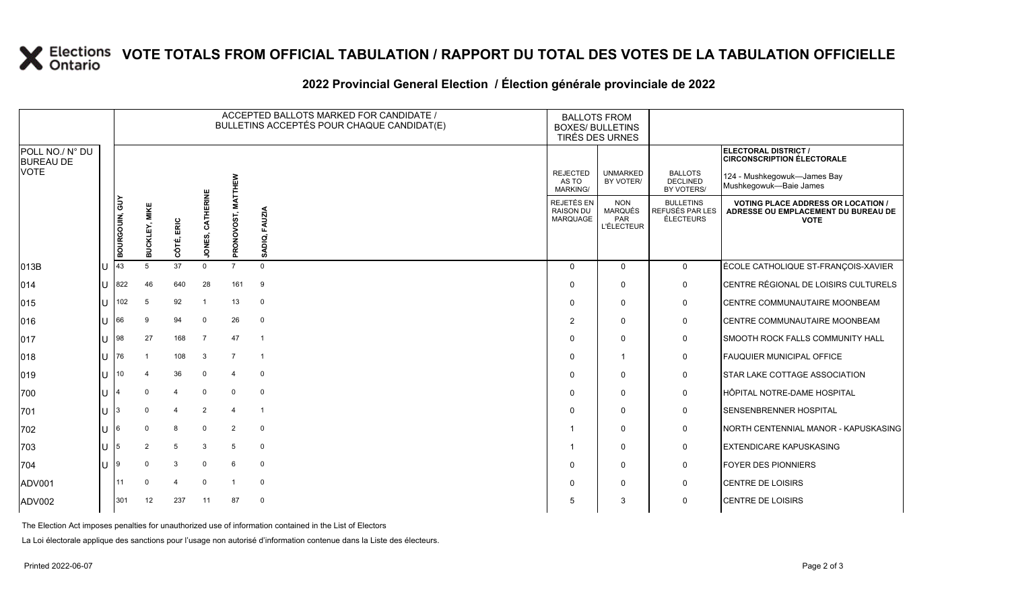# **X** Elections VOTE TOTALS FROM OFFICIAL TABULATION / RAPPORT DU TOTAL DES VOTES DE LA TABULATION OFFICIELLE

### **2022 Provincial General Election / Élection générale provinciale de 2022**

|                                     |                       |                      |                |                 |                 | ACCEPTED BALLOTS MARKED FOR CANDIDATE /<br>BULLETINS ACCEPTÉS POUR CHAQUE CANDIDAT(E) | <b>BALLOTS FROM</b><br><b>BOXES/ BULLETINS</b><br><b>TIRÉS DES URNES</b> |                                             |                                                          |                                                  |                                                                                                 |
|-------------------------------------|-----------------------|----------------------|----------------|-----------------|-----------------|---------------------------------------------------------------------------------------|--------------------------------------------------------------------------|---------------------------------------------|----------------------------------------------------------|--------------------------------------------------|-------------------------------------------------------------------------------------------------|
| POLL NO./ N° DU<br><b>BUREAU DE</b> |                       |                      |                |                 |                 |                                                                                       |                                                                          |                                             |                                                          |                                                  | ELECTORAL DISTRICT /<br><b>CIRCONSCRIPTION ÉLECTORALE</b>                                       |
| <b>VOTE</b>                         |                       |                      |                |                 |                 | <b>HEW</b>                                                                            |                                                                          | <b>REJECTED</b><br>AS TO<br><b>MARKING/</b> | <b>UNMARKED</b><br>BY VOTER/                             | <b>BALLOTS</b><br><b>DECLINED</b><br>BY VOTERS/  | 124 - Mushkegowuk-James Bay<br>Mushkegowuk-Baie James                                           |
|                                     |                       | <b>BOURGOUN, GUY</b> | MIKE<br>nckri  | ERIC<br>côré,   | ERINE<br>JONES, | ≨<br>PRONOVOST,                                                                       | <b>FAUZIA</b><br>ADIQ,<br>ທ                                              | REJETÉS EN<br><b>RAISON DU</b><br>MARQUAGE  | <b>NON</b><br><b>MARQUÉS</b><br>PAR<br><b>L'ÉLECTEUR</b> | <b>BULLETINS</b><br>REFUSÉS PAR LES<br>ÉLECTEURS | <b>VOTING PLACE ADDRESS OR LOCATION /</b><br>ADRESSE OU EMPLACEMENT DU BUREAU DE<br><b>VOTE</b> |
| 013B                                | $\cup$                | 43                   | 5              | 37              | $\Omega$        | $7^{\circ}$                                                                           | $\Omega$                                                                 | $\mathbf 0$                                 | $\Omega$                                                 | $\mathbf 0$                                      | ÉCOLE CATHOLIQUE ST-FRANÇOIS-XAVIER                                                             |
| 014                                 |                       | $11$ 822             | 46             | 640             | 28              | 161                                                                                   | 9                                                                        | $\Omega$                                    | $\mathbf{0}$                                             | $\mathbf 0$                                      | CENTRE RÉGIONAL DE LOISIRS CULTURELS                                                            |
| 015                                 | $\mathbf{L}$          | 102                  | 5              | 92              |                 | 13                                                                                    | $\mathbf 0$                                                              | $\mathbf 0$                                 | 0                                                        | 0                                                | CENTRE COMMUNAUTAIRE MOONBEAM                                                                   |
| 016                                 | U                     | 66                   | 9              | 94              | $\mathbf 0$     | 26                                                                                    | $\mathbf 0$                                                              | $\overline{2}$                              | $\Omega$                                                 | $\mathbf 0$                                      | CENTRE COMMUNAUTAIRE MOONBEAM                                                                   |
| 017                                 |                       | $11$ 98              | 27             | 168             | $\overline{7}$  | 47                                                                                    | $\overline{1}$                                                           | $\Omega$                                    | $\mathbf{0}$                                             | 0                                                | SMOOTH ROCK FALLS COMMUNITY HALL                                                                |
| 018                                 |                       | U $ 76$              |                | 108             | 3               | $\overline{7}$                                                                        | $\overline{1}$                                                           | $\Omega$                                    |                                                          | $\mathbf 0$                                      | <b>FAUQUIER MUNICIPAL OFFICE</b>                                                                |
| 019                                 | U                     | 10 <sup>°</sup>      |                | 36              | $\mathbf 0$     | 4                                                                                     | $\mathbf 0$                                                              | $\Omega$                                    | $\mathbf{0}$                                             | $\mathbf 0$                                      | STAR LAKE COTTAGE ASSOCIATION                                                                   |
| 700                                 | lu P                  |                      | $\Omega$       | $\overline{4}$  | $\Omega$        | $\mathbf 0$                                                                           | $\mathbf 0$                                                              | $\Omega$                                    | 0                                                        | $\mathbf 0$                                      | HÔPITAL NOTRE-DAME HOSPITAL                                                                     |
| 701                                 | U                     |                      |                | $\overline{4}$  | $\overline{2}$  | $\boldsymbol{4}$                                                                      | $\overline{1}$                                                           | $\Omega$                                    | $\mathbf{0}$                                             | $\mathbf 0$                                      | SENSENBRENNER HOSPITAL                                                                          |
| 702                                 |                       |                      | $\Omega$       | 8               | $\mathbf 0$     | $\overline{2}$                                                                        | $\mathbf 0$                                                              |                                             | $\mathbf{0}$                                             | $\mathbf 0$                                      | NORTH CENTENNIAL MANOR - KAPUSKASING                                                            |
| 703                                 | $\lfloor \rfloor$   5 |                      | $\overline{2}$ | $5\phantom{.0}$ | 3               | 5                                                                                     | $\mathbf 0$                                                              |                                             | 0                                                        | $\mathbf 0$                                      | <b>EXTENDICARE KAPUSKASING</b>                                                                  |
| 704                                 | <b>IU</b>             |                      | $\Omega$       | 3               | $\Omega$        | 6                                                                                     | $\mathbf 0$                                                              | $\mathbf 0$                                 | 0                                                        | 0                                                | <b>FOYER DES PIONNIERS</b>                                                                      |
| ADV001                              |                       | 11                   | $\Omega$       | $\overline{4}$  | $\Omega$        |                                                                                       | $\mathbf 0$                                                              | $\Omega$                                    | $\Omega$                                                 | $\mathbf 0$                                      | CENTRE DE LOISIRS                                                                               |
| ADV002                              |                       | 301                  | 12             | 237             | 11              | 87                                                                                    | $\Omega$                                                                 | 5                                           | 3                                                        | $\mathbf 0$                                      | <b>CENTRE DE LOISIRS</b>                                                                        |

The Election Act imposes penalties for unauthorized use of information contained in the List of Electors

La Loi électorale applique des sanctions pour l'usage non autorisé d'information contenue dans la Liste des électeurs.